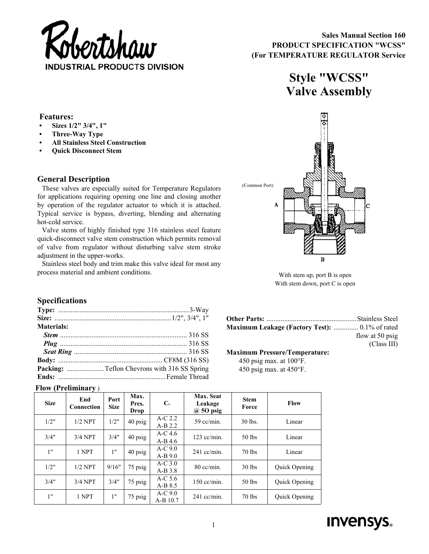

# **Style "WCSS" Valve Assembly**

### **Features:**

- **Sizes 1/2" 3/4", 1"**
- **Three-Way Type**
- **All Stainless Steel Construction**
- **Quick Disconnect Stem**

## **General Description**

These valves are especially suited for Temperature Regulators for applications requiring opening one line and closing another by operation of the regulator actuator to which it is attached. Typical service is bypass, diverting, blending and alternating hot-cold service.

Valve stems of highly finished type 316 stainless steel feature quick-disconnect valve stem construction which permits removal of valve from regulator without disturbing valve stem stroke adjustment in the upper-works.

Stainless steel body and trim make this valve ideal for most any process material and ambient conditions.



With stem up, port B is open With stem down, port C is open

# **Specifications**

| Materials: |  |
|------------|--|
|            |  |
|            |  |
|            |  |
|            |  |
|            |  |
|            |  |

| <b>Maximum Leakage (Factory Test):</b> 0.1% of rated |                 |
|------------------------------------------------------|-----------------|
|                                                      | flow at 50 psig |
|                                                      | (Class III)     |

#### **Maximum Pressure/Temperature:**

450 psig max. at 100°F. 450 psig max. at 450°F.

#### **Flow (Preliminary** )

| <b>Size</b> | End<br>Connection | Port<br><b>Size</b> | Max.<br>Pres.<br><b>Drop</b> | $C_{v}$                | Max. Seat<br>Leakage<br>$\omega$ 50 psig | <b>Stem</b><br>Force | <b>Flow</b>   |
|-------------|-------------------|---------------------|------------------------------|------------------------|------------------------------------------|----------------------|---------------|
| 1/2"        | $1/2$ NPT         | 1/2"                | 40 psig                      | $A-C$ 2.2<br>$A-B2.2$  | $59$ cc/min.                             | 30 lbs.              | Linear        |
| 3/4"        | $3/4$ NPT         | 3/4"                | 40 psig                      | $A-C$ 4.6<br>$A-B$ 4.6 | $123$ cc/min.                            | 50 lbs               | Linear        |
| 1"          | 1 NPT             | 1"                  | 40 psig                      | $A-C9.0$<br>$A-B9.0$   | $241$ cc/min.                            | 70 lbs               | Linear        |
| 1/2"        | $1/2$ NPT         | 9/16"               | 75 psig                      | $A-C$ 3.0<br>$A-B3.8$  | $80$ cc/min.                             | 30 lbs               | Quick Opening |
| 3/4"        | $3/4$ NPT         | 3/4"                | 75 psig                      | A-C $5.6$<br>$A-B$ 8.5 | $150$ cc/min.                            | 50 lbs               | Quick Opening |
| 1"          | 1 NPT             | 1"                  | 75 psig                      | $A-C9.0$<br>A-B 10.7   | $241$ cc/min.                            | 70 lbs               | Quick Opening |